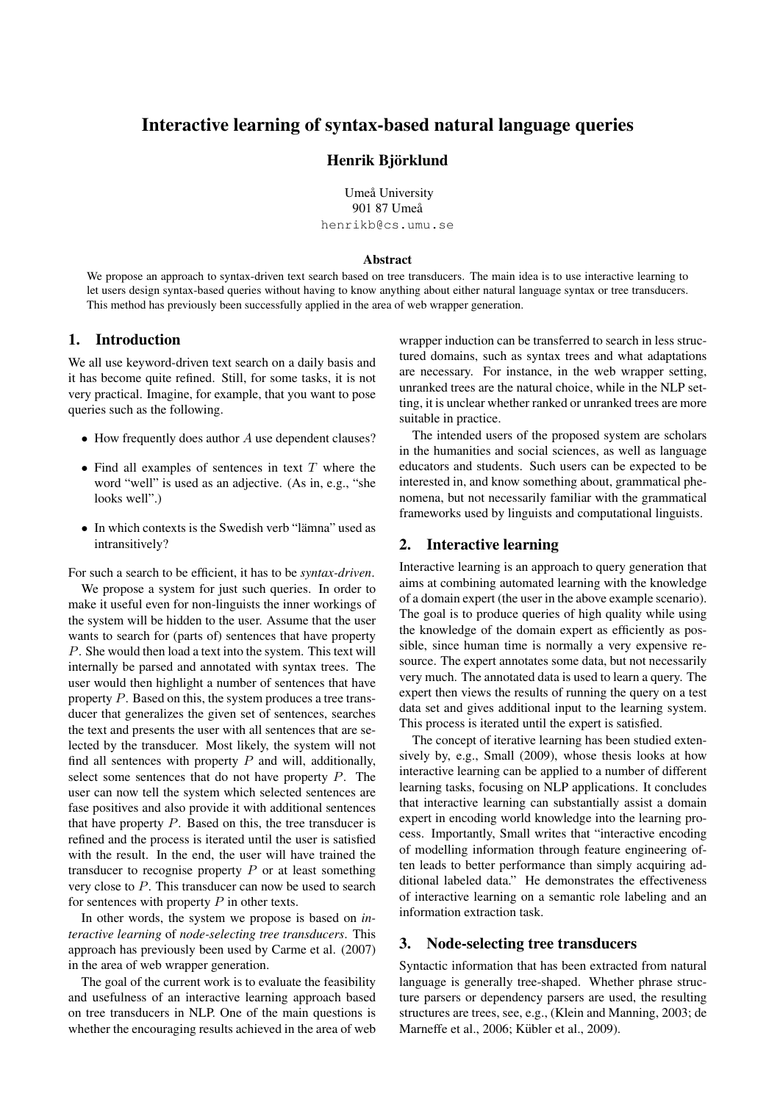# Interactive learning of syntax-based natural language queries

## Henrik Björklund

Umeå University 901 87 Umeå henrikb@cs.umu.se

#### Abstract

We propose an approach to syntax-driven text search based on tree transducers. The main idea is to use interactive learning to let users design syntax-based queries without having to know anything about either natural language syntax or tree transducers. This method has previously been successfully applied in the area of web wrapper generation.

## 1. Introduction

We all use keyword-driven text search on a daily basis and it has become quite refined. Still, for some tasks, it is not very practical. Imagine, for example, that you want to pose queries such as the following.

- How frequently does author A use dependent clauses?
- Find all examples of sentences in text  $T$  where the word "well" is used as an adjective. (As in, e.g., "she looks well".)
- In which contexts is the Swedish verb "lämna" used as intransitively?

For such a search to be efficient, it has to be *syntax-driven*.

We propose a system for just such queries. In order to make it useful even for non-linguists the inner workings of the system will be hidden to the user. Assume that the user wants to search for (parts of) sentences that have property P. She would then load a text into the system. This text will internally be parsed and annotated with syntax trees. The user would then highlight a number of sentences that have property P. Based on this, the system produces a tree transducer that generalizes the given set of sentences, searches the text and presents the user with all sentences that are selected by the transducer. Most likely, the system will not find all sentences with property  $P$  and will, additionally, select some sentences that do not have property  $P$ . The user can now tell the system which selected sentences are fase positives and also provide it with additional sentences that have property  $P$ . Based on this, the tree transducer is refined and the process is iterated until the user is satisfied with the result. In the end, the user will have trained the transducer to recognise property  $P$  or at least something very close to P. This transducer can now be used to search for sentences with property  $P$  in other texts.

In other words, the system we propose is based on *interactive learning* of *node-selecting tree transducers*. This approach has previously been used by Carme et al. (2007) in the area of web wrapper generation.

The goal of the current work is to evaluate the feasibility and usefulness of an interactive learning approach based on tree transducers in NLP. One of the main questions is whether the encouraging results achieved in the area of web

wrapper induction can be transferred to search in less structured domains, such as syntax trees and what adaptations are necessary. For instance, in the web wrapper setting, unranked trees are the natural choice, while in the NLP setting, it is unclear whether ranked or unranked trees are more suitable in practice.

The intended users of the proposed system are scholars in the humanities and social sciences, as well as language educators and students. Such users can be expected to be interested in, and know something about, grammatical phenomena, but not necessarily familiar with the grammatical frameworks used by linguists and computational linguists.

## 2. Interactive learning

Interactive learning is an approach to query generation that aims at combining automated learning with the knowledge of a domain expert (the user in the above example scenario). The goal is to produce queries of high quality while using the knowledge of the domain expert as efficiently as possible, since human time is normally a very expensive resource. The expert annotates some data, but not necessarily very much. The annotated data is used to learn a query. The expert then views the results of running the query on a test data set and gives additional input to the learning system. This process is iterated until the expert is satisfied.

The concept of iterative learning has been studied extensively by, e.g., Small (2009), whose thesis looks at how interactive learning can be applied to a number of different learning tasks, focusing on NLP applications. It concludes that interactive learning can substantially assist a domain expert in encoding world knowledge into the learning process. Importantly, Small writes that "interactive encoding of modelling information through feature engineering often leads to better performance than simply acquiring additional labeled data." He demonstrates the effectiveness of interactive learning on a semantic role labeling and an information extraction task.

#### 3. Node-selecting tree transducers

Syntactic information that has been extracted from natural language is generally tree-shaped. Whether phrase structure parsers or dependency parsers are used, the resulting structures are trees, see, e.g., (Klein and Manning, 2003; de Marneffe et al., 2006; Kübler et al., 2009).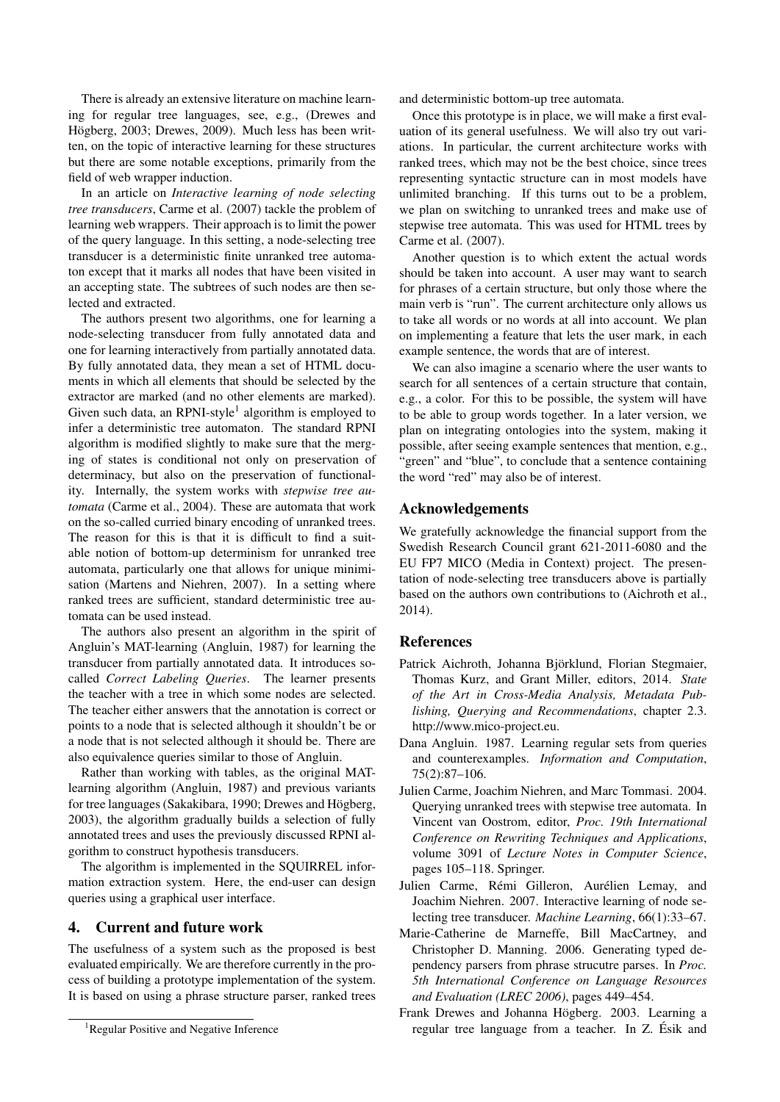There is already an extensive literature on machine learning for regular tree languages, see, e.g., (Drewes and Högberg, 2003; Drewes, 2009). Much less has been written, on the topic of interactive learning for these structures but there are some notable exceptions, primarily from the field of web wrapper induction.

In an article on *Interactive learning of node selecting tree transducers*, Carme et al. (2007) tackle the problem of learning web wrappers. Their approach is to limit the power of the query language. In this setting, a node-selecting tree transducer is a deterministic finite unranked tree automaton except that it marks all nodes that have been visited in an accepting state. The subtrees of such nodes are then selected and extracted.

The authors present two algorithms, one for learning a node-selecting transducer from fully annotated data and one for learning interactively from partially annotated data. By fully annotated data, they mean a set of HTML documents in which all elements that should be selected by the extractor are marked (and no other elements are marked). Given such data, an RPNI-style<sup>1</sup> algorithm is employed to infer a deterministic tree automaton. The standard RPNI algorithm is modified slightly to make sure that the merging of states is conditional not only on preservation of determinacy, but also on the preservation of functionality. Internally, the system works with *stepwise tree automata* (Carme et al., 2004). These are automata that work on the so-called curried binary encoding of unranked trees. The reason for this is that it is difficult to find a suitable notion of bottom-up determinism for unranked tree automata, particularly one that allows for unique minimisation (Martens and Niehren, 2007). In a setting where ranked trees are sufficient, standard deterministic tree automata can be used instead.

The authors also present an algorithm in the spirit of Angluin's MAT-learning (Angluin, 1987) for learning the transducer from partially annotated data. It introduces socalled *Correct Labeling Queries*. The learner presents the teacher with a tree in which some nodes are selected. The teacher either answers that the annotation is correct or points to a node that is selected although it shouldn't be or a node that is not selected although it should be. There are also equivalence queries similar to those of Angluin.

Rather than working with tables, as the original MATlearning algorithm (Angluin, 1987) and previous variants for tree languages (Sakakibara, 1990; Drewes and Högberg, 2003), the algorithm gradually builds a selection of fully annotated trees and uses the previously discussed RPNI algorithm to construct hypothesis transducers.

The algorithm is implemented in the SQUIRREL information extraction system. Here, the end-user can design queries using a graphical user interface.

### 4. Current and future work

The usefulness of a system such as the proposed is best evaluated empirically. We are therefore currently in the process of building a prototype implementation of the system. It is based on using a phrase structure parser, ranked trees

and deterministic bottom-up tree automata.

Once this prototype is in place, we will make a first evaluation of its general usefulness. We will also try out variations. In particular, the current architecture works with ranked trees, which may not be the best choice, since trees representing syntactic structure can in most models have unlimited branching. If this turns out to be a problem, we plan on switching to unranked trees and make use of stepwise tree automata. This was used for HTML trees by Carme et al. (2007).

Another question is to which extent the actual words should be taken into account. A user may want to search for phrases of a certain structure, but only those where the main verb is "run". The current architecture only allows us to take all words or no words at all into account. We plan on implementing a feature that lets the user mark, in each example sentence, the words that are of interest.

We can also imagine a scenario where the user wants to search for all sentences of a certain structure that contain, e.g., a color. For this to be possible, the system will have to be able to group words together. In a later version, we plan on integrating ontologies into the system, making it possible, after seeing example sentences that mention, e.g., "green" and "blue", to conclude that a sentence containing the word "red" may also be of interest.

#### Acknowledgements

We gratefully acknowledge the financial support from the Swedish Research Council grant 621-2011-6080 and the EU FP7 MICO (Media in Context) project. The presentation of node-selecting tree transducers above is partially based on the authors own contributions to (Aichroth et al., 2014).

### **References**

- Patrick Aichroth, Johanna Björklund, Florian Stegmaier, Thomas Kurz, and Grant Miller, editors, 2014. *State of the Art in Cross-Media Analysis, Metadata Publishing, Querying and Recommendations*, chapter 2.3. http://www.mico-project.eu.
- Dana Angluin. 1987. Learning regular sets from queries and counterexamples. *Information and Computation*, 75(2):87–106.
- Julien Carme, Joachim Niehren, and Marc Tommasi. 2004. Querying unranked trees with stepwise tree automata. In Vincent van Oostrom, editor, *Proc. 19th International Conference on Rewriting Techniques and Applications*, volume 3091 of *Lecture Notes in Computer Science*, pages 105–118. Springer.
- Julien Carme, Rémi Gilleron, Aurélien Lemay, and Joachim Niehren. 2007. Interactive learning of node selecting tree transducer. *Machine Learning*, 66(1):33–67.
- Marie-Catherine de Marneffe, Bill MacCartney, and Christopher D. Manning. 2006. Generating typed dependency parsers from phrase strucutre parses. In *Proc. 5th International Conference on Language Resources and Evaluation (LREC 2006)*, pages 449–454.
- Frank Drewes and Johanna Högberg. 2003. Learning a regular tree language from a teacher. In Z. Esik and ´

<sup>&</sup>lt;sup>1</sup>Regular Positive and Negative Inference